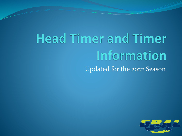# **Head Timer and Timer** Information Updated for the 2022 Season

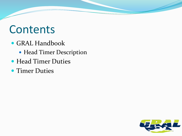#### Contents

- GRAL Handbook
	- Head Timer Description
- Head Timer Duties
- **Timer Duties**

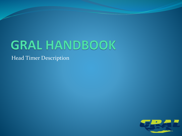# **GRAL HANDBOOK**

Head Timer Description

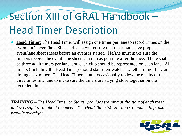# Section XIII of GRAL Handbook – Head Timer Description

 **Head Timer:** The Head Timer will assign one timer per lane to record Times on the swimmer's event/lane Sheet. He/she will ensure that the timers have proper event/lane sheet sheets before an event is started. He/she must make sure the runners receive the event/lane sheets as soon as possible after the race. There shall be three adult timers per lane, and each club should be represented on each lane. All timers (including the Head Timer) should start their watches whether or not they are timing a swimmer. The Head Timer should occasionally review the results of the three times in a lane to make sure the timers are staying close together on the recorded times.

*TRAINING – The Head Timer or Starter provides training at the start of each meet and oversight throughout the meet. The Head Table Worker and Computer Rep also provide oversight.*

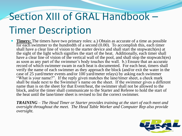# Section XIII of GRAL Handbook – Timer Description

 **Timers:** The timers have two primary roles: a.) Obtain as accurate of a time as possible for each swimmer to the hundredth of a second (0.00). To accomplish this, each timer shall have a clear line of vision to the starter device and shall start the stopwatch(es) at the sight of the light which signifies the start of the heat. Additionally, each timer shall have a clear line of vision of the vertical wall of the pool, and shall stop the stopwatch(es) as soon as any part of the swimmer's body touches the wall. b.) Ensure that an accurate record of which swimmer swam in each heat is documented. For each heat, timers shall verify the name of each swimmer as they approach the block (and/or exit the water in the case of 25 yard/meter events and/or 100 yard/meter relays) by asking each swimmer "What is your name?". If the reply given matches the lane/timer sheet, a check mark shall be made next to the Swimmer's name on the sheet. If the swimmer gives a different name than is on the sheet for that Event/heat, the swimmer shall not be allowed to the block, and/or the timer shall communicate to the Starter and Referee to hold the start of the heat until the lane/timer sheet is revised to list the correct swimmer.

*TRAINING – The Head Timer or Starter provides training at the start of each meet and oversight throughout the meet. The Head Table Worker and Computer Rep also provide oversight.*

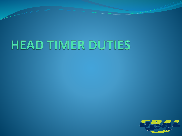# HEAD TIMER DUTIES

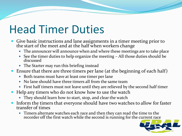## Head Timer Duties

- Give basic instructions and lane assignments in a timer meeting prior to the start of the meet and at the half when workers change
	- The announcer will announce when and where these meetings are to take place
	- See the timer duties to help organize the meeting All those duties should be discussed
	- The Starter may run this briefing instead
- Ensure that there are three timers per lane (at the beginning of each half)
	- Both teams must have at least one timer per lane
	- No lane should have three timers all from the same team
	- First half timers must not leave until they are relieved by the second half timer
- Help any timers who do not know how to use the watch
	- They should learn how to start, stop, and clear the watch
- Inform the timers that everyone should have two watches to allow for faster transfer of times
	- Timers alternate watches each race and then they can read the time to the recorder off the first watch while the second is running for the current race

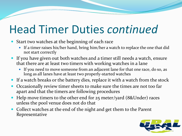## Head Timer Duties *continued*

- Start two watches at the beginning of each race
	- If a timer raises his/her hand, bring him/her a watch to replace the one that did not start correctly
- If you have given out both watches and a timer still needs a watch, ensure that there are at least two timers with working watches in a lane
	- If you need to move someone from an adjacent lane for that one race, do so, as long as all lanes have at least two properly-started watches
- If a watch breaks or the battery dies, replace it with a watch from the stock
- Occasionally review timer sheets to make sure the times are not too far apart and that the timers are following procedures
- Help move timers to the other end for 25 meter/yard (8&Under) races unless the pool venue does not do that
- Collect watches at the end of the night and get them to the Parent Representative

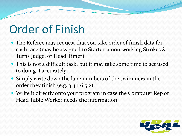## Order of Finish

- The Referee may request that you take order of finish data for each race (may be assigned to Starter, a non-working Strokes & Turns Judge, or Head Timer)
- This is not a difficult task, but it may take some time to get used to doing it accurately
- Simply write down the lane numbers of the swimmers in the order they finish (e.g.  $341652$ )
- Write it directly onto your program in case the Computer Rep or Head Table Worker needs the information

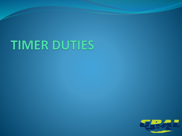# TIMER DUTIES

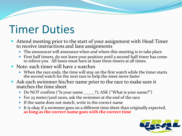### Timer Duties

- Attend meeting prior to the start of your assignment with Head Timer to receive instructions and lane assignments
	- The announcer will announce when and where this meeting is to take place
	- First half timers, do not leave your position until a second half timer has come to relieve you. All lanes must have at least three timers at all times.
- Note: each timer will have 2 watches
	- When the race ends, the time will stay on the first watch while the timer starts the second watch for the next race to help the meet move faster
- Ask each swimmer his/her name prior to the race to make sure it matches the time sheet
	- Do NOT confirm ("Is your name \_\_\_\_\_?); ASK ("What is your name?")
	- For 25 meter/yard races, ask the swimmer at the end of the race
	- If the name does not match, write in the correct name
	- It is okay if a swimmer goes on a different time sheet than originally expected, **as long as the correct name goes with the correct time**

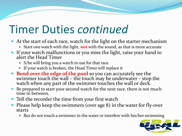### Timer Duties *continued*

- At the start of each race, watch for the light on the starter mechanism
	- Start one watch with the light, *not* with the sound, as that is more accurate
- If your watch malfunctions or you miss the light, raise your hand to alert the Head Timer
	- S/he will bring you a watch to use for that race
	- If your watch is broken, the Head Timer will replace it
- **Bend over the edge of the pool** so you can accurately see the swimmer touch the wall – the touch may be underwater – stop the watch when any part of the swimmer touches the wall or deck.
- Be prepared to start your second watch for the next race, there is not much time in between.
- Tell the recorder the time from your first watch
- Please help keep the swimmers (over age 8) in the water for fly-over starts
	- But do not touch a swimmer in the water or interfere with his/her swimming

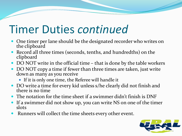### Timer Duties *continued*

- One timer per lane should be the designated recorder who writes on the clipboard
- Record all three times (seconds, tenths, and hundredths) on the clipboard
- DO NOT write in the official time that is done by the table workers
- DO NOT copy a time if fewer than three times are taken, just write down as many as you receive
	- If it is only one time, the Referee will handle it
- DO write a time for every kid unless s/he clearly did not finish and there is no time
- The notation for the time sheet if a swimmer didn't finish is DNF
- If a swimmer did not show up, you can write NS on one of the timer slots
- Runners will collect the time sheets every other event.